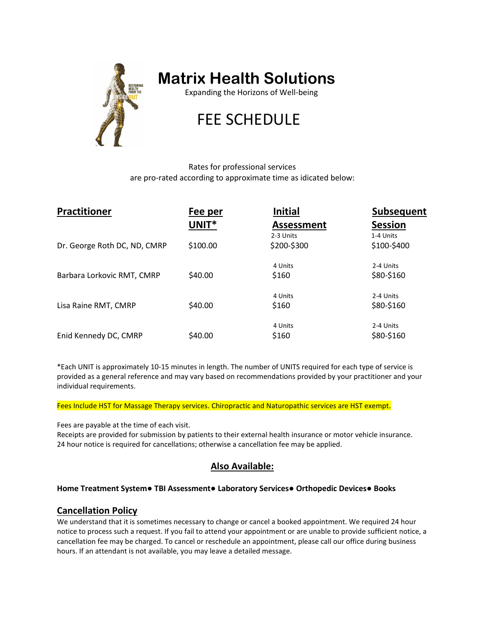

## **Matrix Health Solutions**

Expanding the Horizons of Well-being

# FEE SCHEDULE

Rates for professional services are pro-rated according to approximate time as idicated below:

| <b>Practitioner</b>          | Fee per  | <b>Initial</b>    | <b>Subsequent</b> |
|------------------------------|----------|-------------------|-------------------|
|                              | UNIT*    | <b>Assessment</b> | <b>Session</b>    |
|                              |          | 2-3 Units         | 1-4 Units         |
| Dr. George Roth DC, ND, CMRP | \$100.00 | \$200-\$300       | \$100-\$400       |
|                              |          | 4 Units           | 2-4 Units         |
| Barbara Lorkovic RMT, CMRP   | \$40.00  | \$160             | \$80-\$160        |
|                              |          | 4 Units           | 2-4 Units         |
| Lisa Raine RMT, CMRP         | \$40.00  | \$160             | \$80-\$160        |
|                              |          | 4 Units           | 2-4 Units         |
| Enid Kennedy DC, CMRP        | \$40.00  | \$160             | \$80-\$160        |

\*Each UNIT is approximately 10-15 minutes in length. The number of UNITS required for each type of service is provided as a general reference and may vary based on recommendations provided by your practitioner and your individual requirements.

Fees Include HST for Massage Therapy services. Chiropractic and Naturopathic services are HST exempt.

Fees are payable at the time of each visit.

Receipts are provided for submission by patients to their external health insurance or motor vehicle insurance. 24 hour notice is required for cancellations; otherwise a cancellation fee may be applied.

## **Also Available:**

#### **Home Treatment System● TBI Assessment● Laboratory Services● Orthopedic Devices● Books**

### **Cancellation Policy**

We understand that it is sometimes necessary to change or cancel a booked appointment. We required 24 hour notice to process such a request. If you fail to attend your appointment or are unable to provide sufficient notice, a cancellation fee may be charged. To cancel or reschedule an appointment, please call our office during business hours. If an attendant is not available, you may leave a detailed message.